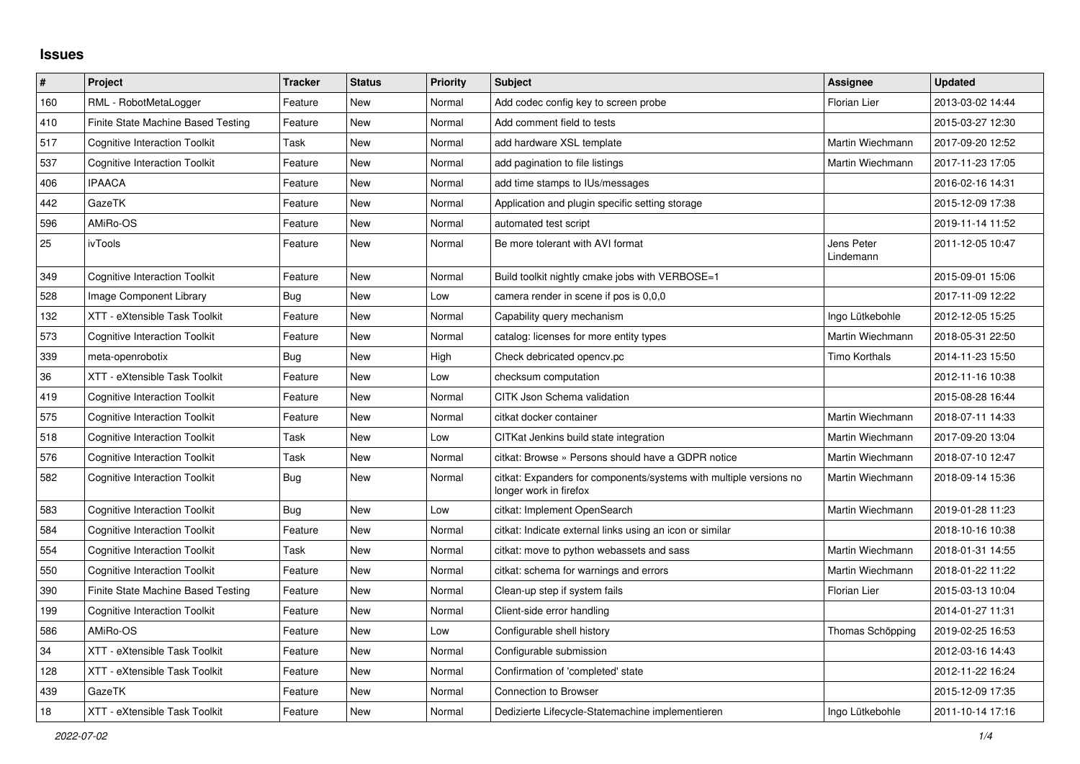## **Issues**

| $\#$ | Project                              | <b>Tracker</b> | <b>Status</b> | <b>Priority</b> | <b>Subject</b>                                                                               | Assignee                | <b>Updated</b>   |
|------|--------------------------------------|----------------|---------------|-----------------|----------------------------------------------------------------------------------------------|-------------------------|------------------|
| 160  | RML - RobotMetaLogger                | Feature        | <b>New</b>    | Normal          | Add codec config key to screen probe                                                         | <b>Florian Lier</b>     | 2013-03-02 14:44 |
| 410  | Finite State Machine Based Testing   | Feature        | New           | Normal          | Add comment field to tests                                                                   |                         | 2015-03-27 12:30 |
| 517  | <b>Cognitive Interaction Toolkit</b> | Task           | New           | Normal          | add hardware XSL template                                                                    | Martin Wiechmann        | 2017-09-20 12:52 |
| 537  | <b>Cognitive Interaction Toolkit</b> | Feature        | <b>New</b>    | Normal          | add pagination to file listings                                                              | Martin Wiechmann        | 2017-11-23 17:05 |
| 406  | <b>IPAACA</b>                        | Feature        | New           | Normal          | add time stamps to IUs/messages                                                              |                         | 2016-02-16 14:31 |
| 442  | GazeTK                               | Feature        | New           | Normal          | Application and plugin specific setting storage                                              |                         | 2015-12-09 17:38 |
| 596  | AMiRo-OS                             | Feature        | New           | Normal          | automated test script                                                                        |                         | 2019-11-14 11:52 |
| 25   | ivTools                              | Feature        | New           | Normal          | Be more tolerant with AVI format                                                             | Jens Peter<br>Lindemann | 2011-12-05 10:47 |
| 349  | <b>Cognitive Interaction Toolkit</b> | Feature        | <b>New</b>    | Normal          | Build toolkit nightly cmake jobs with VERBOSE=1                                              |                         | 2015-09-01 15:06 |
| 528  | Image Component Library              | Bug            | <b>New</b>    | Low             | camera render in scene if pos is 0,0,0                                                       |                         | 2017-11-09 12:22 |
| 132  | XTT - eXtensible Task Toolkit        | Feature        | New           | Normal          | Capability query mechanism                                                                   | Ingo Lütkebohle         | 2012-12-05 15:25 |
| 573  | <b>Cognitive Interaction Toolkit</b> | Feature        | New           | Normal          | catalog: licenses for more entity types                                                      | Martin Wiechmann        | 2018-05-31 22:50 |
| 339  | meta-openrobotix                     | Bug            | <b>New</b>    | High            | Check debricated opency.pc                                                                   | <b>Timo Korthals</b>    | 2014-11-23 15:50 |
| 36   | XTT - eXtensible Task Toolkit        | Feature        | New           | Low             | checksum computation                                                                         |                         | 2012-11-16 10:38 |
| 419  | <b>Cognitive Interaction Toolkit</b> | Feature        | <b>New</b>    | Normal          | CITK Json Schema validation                                                                  |                         | 2015-08-28 16:44 |
| 575  | <b>Cognitive Interaction Toolkit</b> | Feature        | New           | Normal          | citkat docker container                                                                      | Martin Wiechmann        | 2018-07-11 14:33 |
| 518  | <b>Cognitive Interaction Toolkit</b> | Task           | New           | Low             | CITKat Jenkins build state integration                                                       | Martin Wiechmann        | 2017-09-20 13:04 |
| 576  | <b>Cognitive Interaction Toolkit</b> | Task           | <b>New</b>    | Normal          | citkat: Browse » Persons should have a GDPR notice                                           | Martin Wiechmann        | 2018-07-10 12:47 |
| 582  | <b>Cognitive Interaction Toolkit</b> | Bug            | <b>New</b>    | Normal          | citkat: Expanders for components/systems with multiple versions no<br>longer work in firefox | Martin Wiechmann        | 2018-09-14 15:36 |
| 583  | <b>Cognitive Interaction Toolkit</b> | Bug            | <b>New</b>    | Low             | citkat: Implement OpenSearch                                                                 | Martin Wiechmann        | 2019-01-28 11:23 |
| 584  | <b>Cognitive Interaction Toolkit</b> | Feature        | New           | Normal          | citkat: Indicate external links using an icon or similar                                     |                         | 2018-10-16 10:38 |
| 554  | <b>Cognitive Interaction Toolkit</b> | Task           | New           | Normal          | citkat: move to python webassets and sass                                                    | Martin Wiechmann        | 2018-01-31 14:55 |
| 550  | <b>Cognitive Interaction Toolkit</b> | Feature        | New           | Normal          | citkat: schema for warnings and errors                                                       | Martin Wiechmann        | 2018-01-22 11:22 |
| 390  | Finite State Machine Based Testing   | Feature        | New           | Normal          | Clean-up step if system fails                                                                | <b>Florian Lier</b>     | 2015-03-13 10:04 |
| 199  | <b>Cognitive Interaction Toolkit</b> | Feature        | New           | Normal          | Client-side error handling                                                                   |                         | 2014-01-27 11:31 |
| 586  | AMiRo-OS                             | Feature        | <b>New</b>    | Low             | Configurable shell history                                                                   | Thomas Schöpping        | 2019-02-25 16:53 |
| 34   | XTT - eXtensible Task Toolkit        | Feature        | New           | Normal          | Configurable submission                                                                      |                         | 2012-03-16 14:43 |
| 128  | XTT - eXtensible Task Toolkit        | Feature        | New           | Normal          | Confirmation of 'completed' state                                                            |                         | 2012-11-22 16:24 |
| 439  | GazeTK                               | Feature        | <b>New</b>    | Normal          | Connection to Browser                                                                        |                         | 2015-12-09 17:35 |
| 18   | XTT - eXtensible Task Toolkit        | Feature        | <b>New</b>    | Normal          | Dedizierte Lifecycle-Statemachine implementieren                                             | Ingo Lütkebohle         | 2011-10-14 17:16 |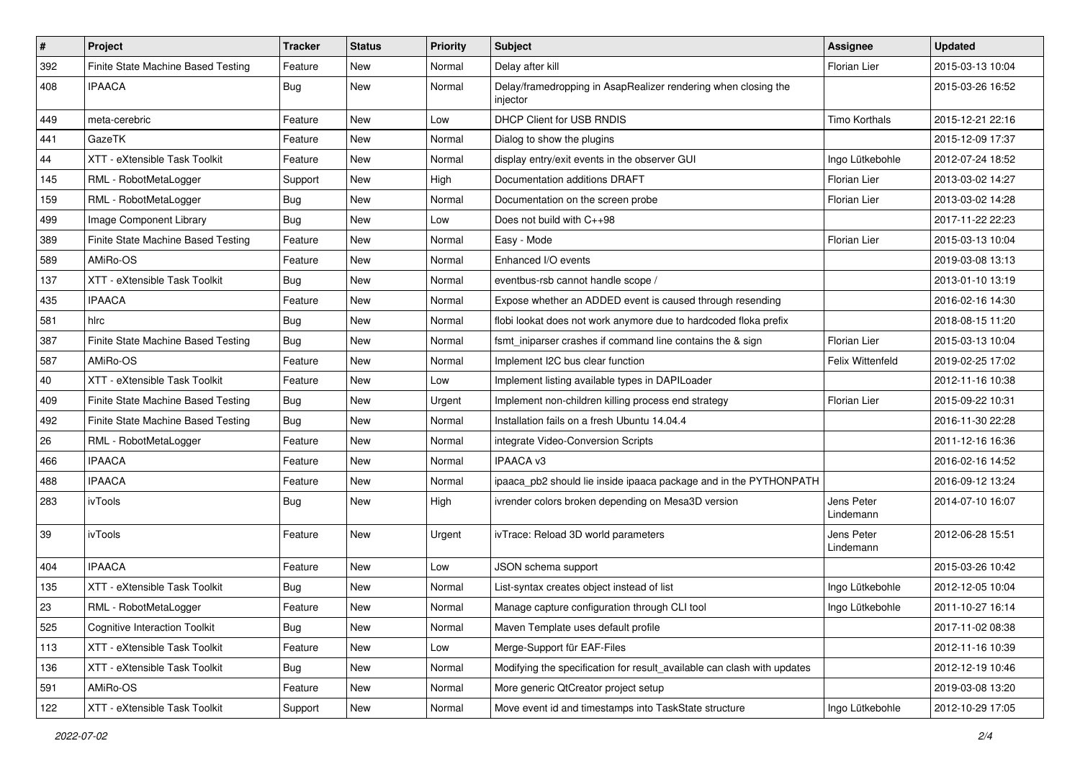| #   | Project                              | <b>Tracker</b> | <b>Status</b> | <b>Priority</b> | Subject                                                                    | <b>Assignee</b>         | <b>Updated</b>   |
|-----|--------------------------------------|----------------|---------------|-----------------|----------------------------------------------------------------------------|-------------------------|------------------|
| 392 | Finite State Machine Based Testing   | Feature        | New           | Normal          | Delay after kill                                                           | Florian Lier            | 2015-03-13 10:04 |
| 408 | <b>IPAACA</b>                        | Bug            | New           | Normal          | Delay/framedropping in AsapRealizer rendering when closing the<br>injector |                         | 2015-03-26 16:52 |
| 449 | meta-cerebric                        | Feature        | <b>New</b>    | Low             | DHCP Client for USB RNDIS                                                  | <b>Timo Korthals</b>    | 2015-12-21 22:16 |
| 441 | GazeTK                               | Feature        | New           | Normal          | Dialog to show the plugins                                                 |                         | 2015-12-09 17:37 |
| 44  | XTT - eXtensible Task Toolkit        | Feature        | New           | Normal          | display entry/exit events in the observer GUI                              | Ingo Lütkebohle         | 2012-07-24 18:52 |
| 145 | RML - RobotMetaLogger                | Support        | New           | High            | Documentation additions DRAFT                                              | <b>Florian Lier</b>     | 2013-03-02 14:27 |
| 159 | RML - RobotMetaLogger                | Bug            | <b>New</b>    | Normal          | Documentation on the screen probe                                          | Florian Lier            | 2013-03-02 14:28 |
| 499 | Image Component Library              | Bug            | <b>New</b>    | Low             | Does not build with C++98                                                  |                         | 2017-11-22 22:23 |
| 389 | Finite State Machine Based Testing   | Feature        | New           | Normal          | Easy - Mode                                                                | <b>Florian Lier</b>     | 2015-03-13 10:04 |
| 589 | AMiRo-OS                             | Feature        | New           | Normal          | Enhanced I/O events                                                        |                         | 2019-03-08 13:13 |
| 137 | XTT - eXtensible Task Toolkit        | Bug            | New           | Normal          | eventbus-rsb cannot handle scope /                                         |                         | 2013-01-10 13:19 |
| 435 | <b>IPAACA</b>                        | Feature        | <b>New</b>    | Normal          | Expose whether an ADDED event is caused through resending                  |                         | 2016-02-16 14:30 |
| 581 | hlrc                                 | Bug            | New           | Normal          | flobi lookat does not work anymore due to hardcoded floka prefix           |                         | 2018-08-15 11:20 |
| 387 | Finite State Machine Based Testing   | Bug            | <b>New</b>    | Normal          | fsmt_iniparser crashes if command line contains the & sign                 | <b>Florian Lier</b>     | 2015-03-13 10:04 |
| 587 | AMiRo-OS                             | Feature        | New           | Normal          | Implement I2C bus clear function                                           | Felix Wittenfeld        | 2019-02-25 17:02 |
| 40  | XTT - eXtensible Task Toolkit        | Feature        | New           | Low             | Implement listing available types in DAPILoader                            |                         | 2012-11-16 10:38 |
| 409 | Finite State Machine Based Testing   | Bug            | <b>New</b>    | Urgent          | Implement non-children killing process end strategy                        | Florian Lier            | 2015-09-22 10:31 |
| 492 | Finite State Machine Based Testing   | Bug            | New           | Normal          | Installation fails on a fresh Ubuntu 14.04.4                               |                         | 2016-11-30 22:28 |
| 26  | RML - RobotMetaLogger                | Feature        | New           | Normal          | integrate Video-Conversion Scripts                                         |                         | 2011-12-16 16:36 |
| 466 | <b>IPAACA</b>                        | Feature        | New           | Normal          | <b>IPAACA v3</b>                                                           |                         | 2016-02-16 14:52 |
| 488 | <b>IPAACA</b>                        | Feature        | New           | Normal          | ipaaca_pb2 should lie inside ipaaca package and in the PYTHONPATH          |                         | 2016-09-12 13:24 |
| 283 | ivTools                              | Bug            | New           | High            | ivrender colors broken depending on Mesa3D version                         | Jens Peter<br>Lindemann | 2014-07-10 16:07 |
| 39  | ivTools                              | Feature        | New           | Urgent          | ivTrace: Reload 3D world parameters                                        | Jens Peter<br>Lindemann | 2012-06-28 15:51 |
| 404 | <b>IPAACA</b>                        | Feature        | New           | Low             | JSON schema support                                                        |                         | 2015-03-26 10:42 |
| 135 | XTT - eXtensible Task Toolkit        | Bug            | New           | Normal          | List-syntax creates object instead of list                                 | Ingo Lütkebohle         | 2012-12-05 10:04 |
| 23  | RML - RobotMetaLogger                | Feature        | New           | Normal          | Manage capture configuration through CLI tool                              | Ingo Lütkebohle         | 2011-10-27 16:14 |
| 525 | <b>Cognitive Interaction Toolkit</b> | Bug            | New           | Normal          | Maven Template uses default profile                                        |                         | 2017-11-02 08:38 |
| 113 | XTT - eXtensible Task Toolkit        | Feature        | New           | Low             | Merge-Support für EAF-Files                                                |                         | 2012-11-16 10:39 |
| 136 | XTT - eXtensible Task Toolkit        | Bug            | New           | Normal          | Modifying the specification for result_available can clash with updates    |                         | 2012-12-19 10:46 |
| 591 | AMiRo-OS                             | Feature        | New           | Normal          | More generic QtCreator project setup                                       |                         | 2019-03-08 13:20 |
| 122 | XTT - eXtensible Task Toolkit        | Support        | New           | Normal          | Move event id and timestamps into TaskState structure                      | Ingo Lütkebohle         | 2012-10-29 17:05 |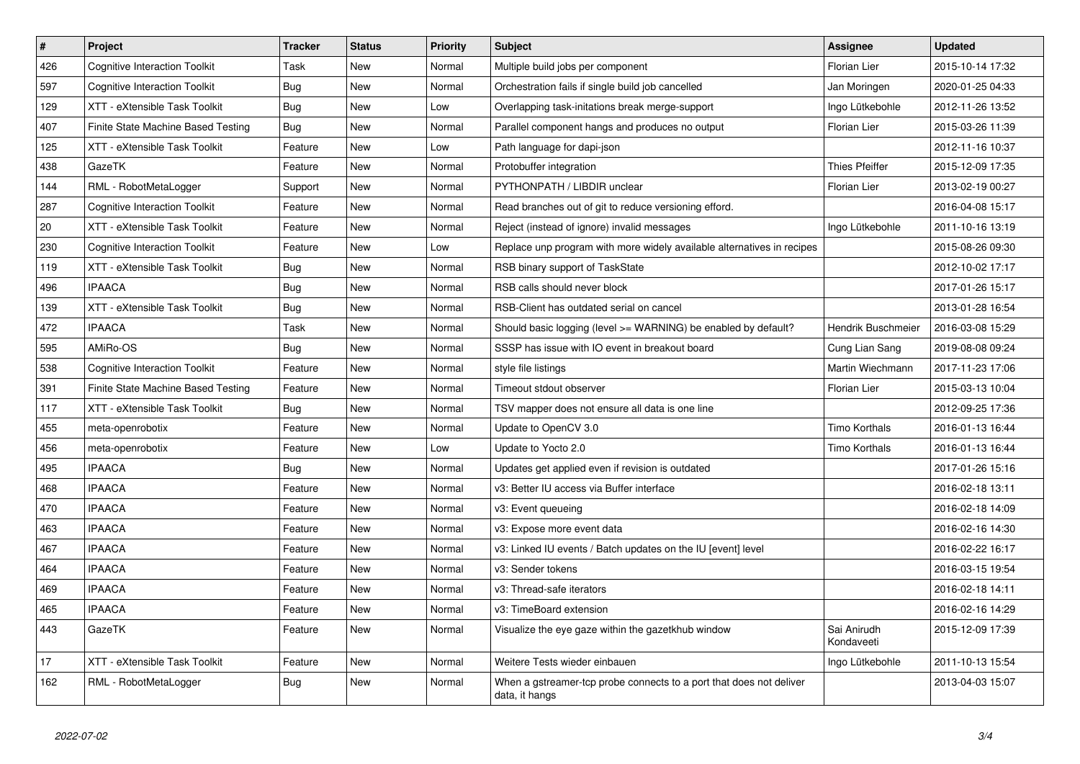| $\pmb{\sharp}$ | Project                              | <b>Tracker</b> | <b>Status</b> | <b>Priority</b> | Subject                                                                               | Assignee                  | <b>Updated</b>   |
|----------------|--------------------------------------|----------------|---------------|-----------------|---------------------------------------------------------------------------------------|---------------------------|------------------|
| 426            | <b>Cognitive Interaction Toolkit</b> | Task           | New           | Normal          | Multiple build jobs per component                                                     | Florian Lier              | 2015-10-14 17:32 |
| 597            | <b>Cognitive Interaction Toolkit</b> | <b>Bug</b>     | <b>New</b>    | Normal          | Orchestration fails if single build job cancelled                                     | Jan Moringen              | 2020-01-25 04:33 |
| 129            | XTT - eXtensible Task Toolkit        | Bug            | New           | Low             | Overlapping task-initations break merge-support                                       | Ingo Lütkebohle           | 2012-11-26 13:52 |
| 407            | Finite State Machine Based Testing   | <b>Bug</b>     | <b>New</b>    | Normal          | Parallel component hangs and produces no output                                       | Florian Lier              | 2015-03-26 11:39 |
| 125            | XTT - eXtensible Task Toolkit        | Feature        | <b>New</b>    | Low             | Path language for dapi-json                                                           |                           | 2012-11-16 10:37 |
| 438            | GazeTK                               | Feature        | <b>New</b>    | Normal          | Protobuffer integration                                                               | <b>Thies Pfeiffer</b>     | 2015-12-09 17:35 |
| 144            | RML - RobotMetaLogger                | Support        | New           | Normal          | PYTHONPATH / LIBDIR unclear                                                           | Florian Lier              | 2013-02-19 00:27 |
| 287            | <b>Cognitive Interaction Toolkit</b> | Feature        | New           | Normal          | Read branches out of git to reduce versioning efford.                                 |                           | 2016-04-08 15:17 |
| 20             | XTT - eXtensible Task Toolkit        | Feature        | New           | Normal          | Reject (instead of ignore) invalid messages                                           | Ingo Lütkebohle           | 2011-10-16 13:19 |
| 230            | <b>Cognitive Interaction Toolkit</b> | Feature        | New           | Low             | Replace unp program with more widely available alternatives in recipes                |                           | 2015-08-26 09:30 |
| 119            | XTT - eXtensible Task Toolkit        | Bug            | New           | Normal          | RSB binary support of TaskState                                                       |                           | 2012-10-02 17:17 |
| 496            | <b>IPAACA</b>                        | <b>Bug</b>     | New           | Normal          | RSB calls should never block                                                          |                           | 2017-01-26 15:17 |
| 139            | XTT - eXtensible Task Toolkit        | <b>Bug</b>     | New           | Normal          | RSB-Client has outdated serial on cancel                                              |                           | 2013-01-28 16:54 |
| 472            | <b>IPAACA</b>                        | Task           | New           | Normal          | Should basic logging (level >= WARNING) be enabled by default?                        | Hendrik Buschmeier        | 2016-03-08 15:29 |
| 595            | AMiRo-OS                             | Bug            | New           | Normal          | SSSP has issue with IO event in breakout board                                        | Cung Lian Sang            | 2019-08-08 09:24 |
| 538            | Cognitive Interaction Toolkit        | Feature        | New           | Normal          | style file listings                                                                   | Martin Wiechmann          | 2017-11-23 17:06 |
| 391            | Finite State Machine Based Testing   | Feature        | New           | Normal          | Timeout stdout observer                                                               | Florian Lier              | 2015-03-13 10:04 |
| 117            | XTT - eXtensible Task Toolkit        | Bug            | New           | Normal          | TSV mapper does not ensure all data is one line                                       |                           | 2012-09-25 17:36 |
| 455            | meta-openrobotix                     | Feature        | New           | Normal          | Update to OpenCV 3.0                                                                  | Timo Korthals             | 2016-01-13 16:44 |
| 456            | meta-openrobotix                     | Feature        | New           | Low             | Update to Yocto 2.0                                                                   | Timo Korthals             | 2016-01-13 16:44 |
| 495            | <b>IPAACA</b>                        | Bug            | New           | Normal          | Updates get applied even if revision is outdated                                      |                           | 2017-01-26 15:16 |
| 468            | <b>IPAACA</b>                        | Feature        | New           | Normal          | v3: Better IU access via Buffer interface                                             |                           | 2016-02-18 13:11 |
| 470            | <b>IPAACA</b>                        | Feature        | New           | Normal          | v3: Event queueing                                                                    |                           | 2016-02-18 14:09 |
| 463            | <b>IPAACA</b>                        | Feature        | New           | Normal          | v3: Expose more event data                                                            |                           | 2016-02-16 14:30 |
| 467            | <b>IPAACA</b>                        | Feature        | New           | Normal          | v3: Linked IU events / Batch updates on the IU [event] level                          |                           | 2016-02-22 16:17 |
| 464            | <b>IPAACA</b>                        | Feature        | New           | Normal          | v3: Sender tokens                                                                     |                           | 2016-03-15 19:54 |
| 469            | <b>IPAACA</b>                        | Feature        | New           | Normal          | v3: Thread-safe iterators                                                             |                           | 2016-02-18 14:11 |
| 465            | <b>IPAACA</b>                        | Feature        | New           | Normal          | v3: TimeBoard extension                                                               |                           | 2016-02-16 14:29 |
| 443            | GazeTK                               | Feature        | <b>New</b>    | Normal          | Visualize the eye gaze within the gazetkhub window                                    | Sai Anirudh<br>Kondaveeti | 2015-12-09 17:39 |
| 17             | XTT - eXtensible Task Toolkit        | Feature        | <b>New</b>    | Normal          | Weitere Tests wieder einbauen                                                         | Ingo Lütkebohle           | 2011-10-13 15:54 |
| 162            | RML - RobotMetaLogger                | Bug            | <b>New</b>    | Normal          | When a gstreamer-top probe connects to a port that does not deliver<br>data, it hangs |                           | 2013-04-03 15:07 |